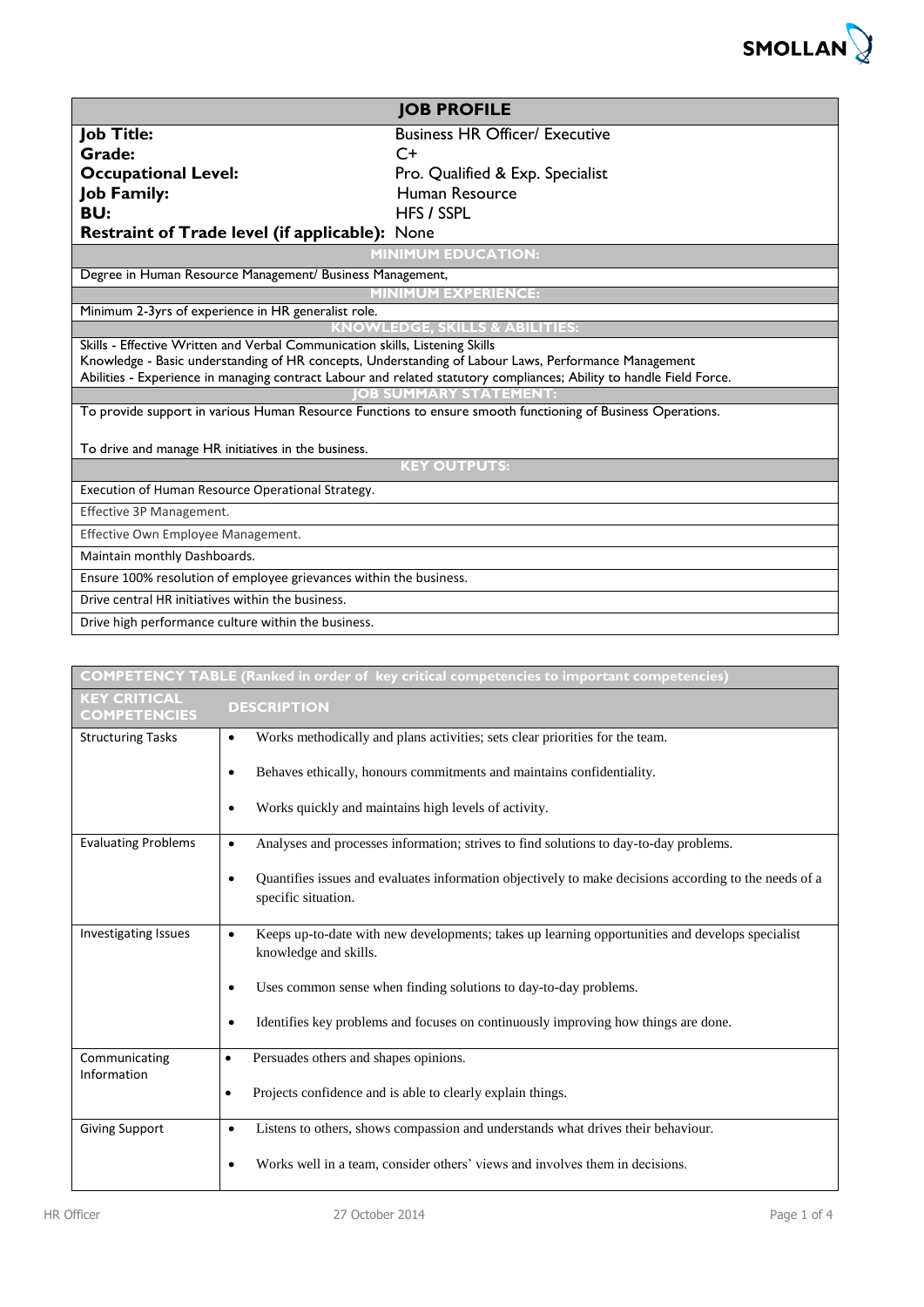

| <b>JOB PROFILE</b>                                                                                                                                   |                                                                                                             |  |  |  |
|------------------------------------------------------------------------------------------------------------------------------------------------------|-------------------------------------------------------------------------------------------------------------|--|--|--|
| <b>Job Title:</b>                                                                                                                                    | <b>Business HR Officer/ Executive</b>                                                                       |  |  |  |
| Grade:                                                                                                                                               | $C+$                                                                                                        |  |  |  |
| <b>Occupational Level:</b><br>Pro. Qualified & Exp. Specialist                                                                                       |                                                                                                             |  |  |  |
| <b>Job Family:</b>                                                                                                                                   | Human Resource                                                                                              |  |  |  |
| BU:                                                                                                                                                  | <b>HFS / SSPL</b>                                                                                           |  |  |  |
| <b>Restraint of Trade level (if applicable):</b> None                                                                                                |                                                                                                             |  |  |  |
|                                                                                                                                                      | <b>MINIMUM EDUCATION:</b>                                                                                   |  |  |  |
| Degree in Human Resource Management/ Business Management,                                                                                            |                                                                                                             |  |  |  |
|                                                                                                                                                      | <b>MINIMUM EXPERIENCE:</b>                                                                                  |  |  |  |
| Minimum 2-3yrs of experience in HR generalist role.                                                                                                  |                                                                                                             |  |  |  |
|                                                                                                                                                      | <b>LS &amp; ABILITIES:</b><br>KNOWLEDGE. SKII                                                               |  |  |  |
| Skills - Effective Written and Verbal Communication skills, Listening Skills                                                                         |                                                                                                             |  |  |  |
|                                                                                                                                                      | Knowledge - Basic understanding of HR concepts, Understanding of Labour Laws, Performance Management        |  |  |  |
| Abilities - Experience in managing contract Labour and related statutory compliances; Ability to handle Field Force.<br><b>OB SUMMARY STATEMENT:</b> |                                                                                                             |  |  |  |
|                                                                                                                                                      | To provide support in various Human Resource Functions to ensure smooth functioning of Business Operations. |  |  |  |
|                                                                                                                                                      |                                                                                                             |  |  |  |
| To drive and manage HR initiatives in the business.                                                                                                  |                                                                                                             |  |  |  |
|                                                                                                                                                      | <b>KEY OUTPUTS:</b>                                                                                         |  |  |  |
| Execution of Human Resource Operational Strategy.                                                                                                    |                                                                                                             |  |  |  |
| Effective 3P Management.                                                                                                                             |                                                                                                             |  |  |  |
| Effective Own Employee Management.                                                                                                                   |                                                                                                             |  |  |  |
| Maintain monthly Dashboards.                                                                                                                         |                                                                                                             |  |  |  |
| Ensure 100% resolution of employee grievances within the business.                                                                                   |                                                                                                             |  |  |  |
| Drive central HR initiatives within the business.                                                                                                    |                                                                                                             |  |  |  |
| Drive high performance culture within the business.                                                                                                  |                                                                                                             |  |  |  |

| COMPETENCY TABLE (Ranked in order of key critical competencies to important competencies) |                                                                                                                                           |  |  |
|-------------------------------------------------------------------------------------------|-------------------------------------------------------------------------------------------------------------------------------------------|--|--|
| <b>KEY CRITICAL</b><br><b>COMPETENCIES</b>                                                | <b>DESCRIPTION</b>                                                                                                                        |  |  |
| <b>Structuring Tasks</b>                                                                  | Works methodically and plans activities; sets clear priorities for the team.<br>$\bullet$                                                 |  |  |
|                                                                                           | Behaves ethically, honours commitments and maintains confidentiality.<br>٠                                                                |  |  |
|                                                                                           | Works quickly and maintains high levels of activity.<br>$\bullet$                                                                         |  |  |
| <b>Evaluating Problems</b>                                                                | Analyses and processes information; strives to find solutions to day-to-day problems.<br>$\bullet$                                        |  |  |
|                                                                                           | Quantifies issues and evaluates information objectively to make decisions according to the needs of a<br>$\bullet$<br>specific situation. |  |  |
| <b>Investigating Issues</b>                                                               | Keeps up-to-date with new developments; takes up learning opportunities and develops specialist<br>$\bullet$<br>knowledge and skills.     |  |  |
|                                                                                           | Uses common sense when finding solutions to day-to-day problems.                                                                          |  |  |
|                                                                                           | Identifies key problems and focuses on continuously improving how things are done.<br>$\bullet$                                           |  |  |
| Communicating<br>Information                                                              | Persuades others and shapes opinions.<br>$\bullet$                                                                                        |  |  |
|                                                                                           | Projects confidence and is able to clearly explain things.<br>$\bullet$                                                                   |  |  |
| <b>Giving Support</b>                                                                     | Listens to others, shows compassion and understands what drives their behaviour.<br>$\bullet$                                             |  |  |
|                                                                                           | Works well in a team, consider others' views and involves them in decisions.<br>٠                                                         |  |  |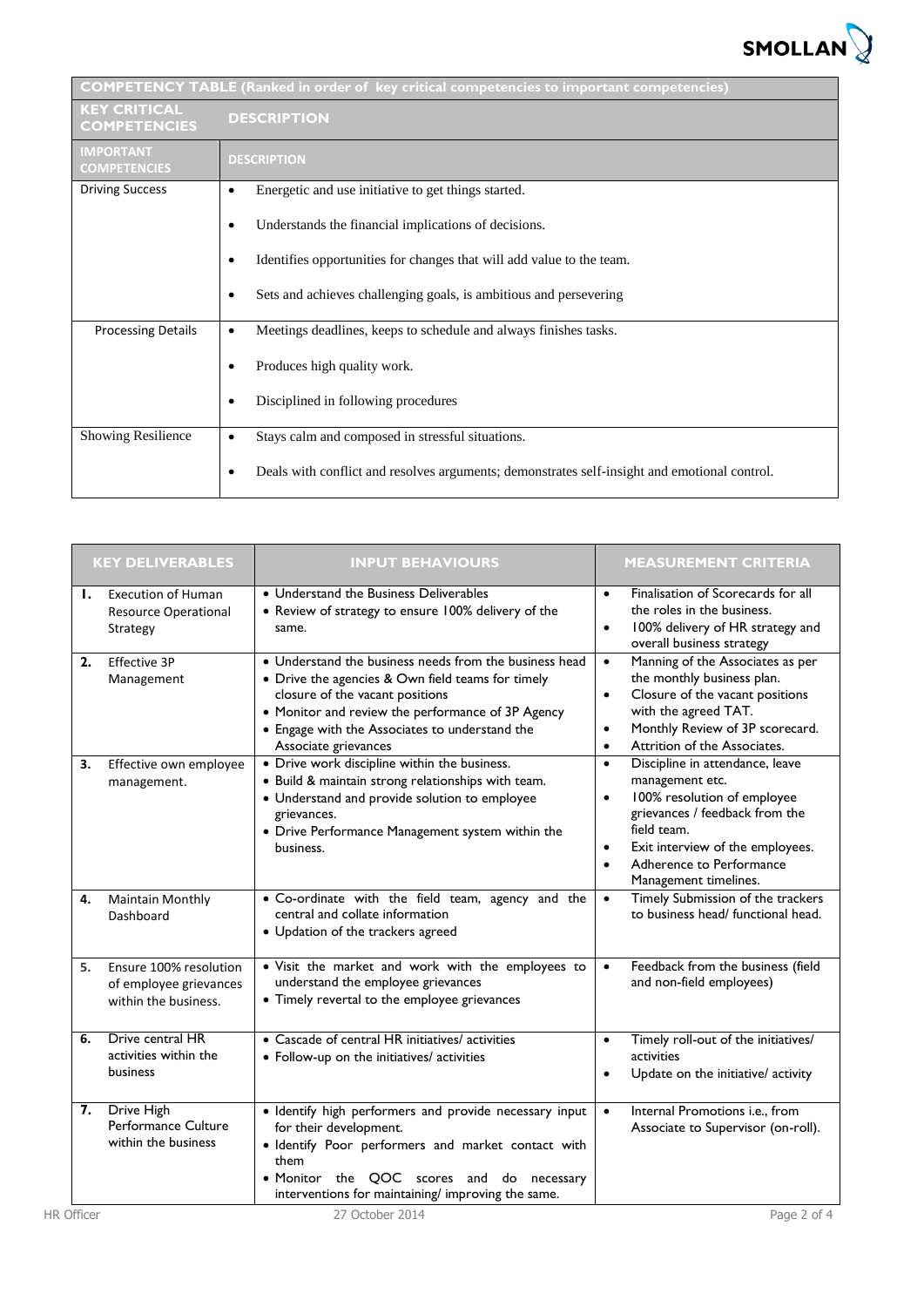

| <b>COMPETENCY TABLE (Ranked in order of key critical competencies to important competencies)</b> |                                                                                              |  |  |  |
|--------------------------------------------------------------------------------------------------|----------------------------------------------------------------------------------------------|--|--|--|
| <b>KEY CRITICAL</b><br><b>COMPETENCIES</b>                                                       | <b>DESCRIPTION</b>                                                                           |  |  |  |
| <b>IMPORTANT</b><br><b>COMPETENCIES</b>                                                          | <b>DESCRIPTION</b>                                                                           |  |  |  |
| <b>Driving Success</b>                                                                           | Energetic and use initiative to get things started.                                          |  |  |  |
|                                                                                                  | Understands the financial implications of decisions.                                         |  |  |  |
|                                                                                                  | Identifies opportunities for changes that will add value to the team.                        |  |  |  |
|                                                                                                  | Sets and achieves challenging goals, is ambitious and persevering                            |  |  |  |
| <b>Processing Details</b>                                                                        | Meetings deadlines, keeps to schedule and always finishes tasks.<br>$\bullet$                |  |  |  |
|                                                                                                  | Produces high quality work.                                                                  |  |  |  |
|                                                                                                  | Disciplined in following procedures                                                          |  |  |  |
| <b>Showing Resilience</b>                                                                        | Stays calm and composed in stressful situations.<br>٠                                        |  |  |  |
|                                                                                                  | Deals with conflict and resolves arguments; demonstrates self-insight and emotional control. |  |  |  |

|                   | <b>KEY DELIVERABLES</b>                                                  | <b>INPUT BEHAVIOURS</b>                                                                                                                                                                                                                                                       | <b>MEASUREMENT CRITERIA</b>                                                                                                                                                                                                                                                     |
|-------------------|--------------------------------------------------------------------------|-------------------------------------------------------------------------------------------------------------------------------------------------------------------------------------------------------------------------------------------------------------------------------|---------------------------------------------------------------------------------------------------------------------------------------------------------------------------------------------------------------------------------------------------------------------------------|
| Ι.                | <b>Execution of Human</b><br><b>Resource Operational</b><br>Strategy     | • Understand the Business Deliverables<br>• Review of strategy to ensure 100% delivery of the<br>same.                                                                                                                                                                        | Finalisation of Scorecards for all<br>$\bullet$<br>the roles in the business.<br>100% delivery of HR strategy and<br>$\bullet$<br>overall business strategy                                                                                                                     |
| 2.                | Effective 3P<br>Management                                               | • Understand the business needs from the business head<br>• Drive the agencies & Own field teams for timely<br>closure of the vacant positions<br>• Monitor and review the performance of 3P Agency<br>• Engage with the Associates to understand the<br>Associate grievances | Manning of the Associates as per<br>$\bullet$<br>the monthly business plan.<br>Closure of the vacant positions<br>$\bullet$<br>with the agreed TAT.<br>Monthly Review of 3P scorecard.<br>$\bullet$<br>Attrition of the Associates.<br>$\bullet$                                |
| З.                | Effective own employee<br>management.                                    | • Drive work discipline within the business.<br>• Build & maintain strong relationships with team.<br>• Understand and provide solution to employee<br>grievances.<br>• Drive Performance Management system within the<br>business.                                           | Discipline in attendance, leave<br>$\bullet$<br>management etc.<br>100% resolution of employee<br>$\bullet$<br>grievances / feedback from the<br>field team.<br>Exit interview of the employees.<br>$\bullet$<br>Adherence to Performance<br>$\bullet$<br>Management timelines. |
| 4.                | <b>Maintain Monthly</b><br>Dashboard                                     | • Co-ordinate with the field team, agency and the<br>central and collate information<br>• Updation of the trackers agreed                                                                                                                                                     | Timely Submission of the trackers<br>$\bullet$<br>to business head/ functional head.                                                                                                                                                                                            |
| 5.                | Ensure 100% resolution<br>of employee grievances<br>within the business. | . Visit the market and work with the employees to<br>understand the employee grievances<br>• Timely revertal to the employee grievances                                                                                                                                       | Feedback from the business (field<br>$\bullet$<br>and non-field employees)                                                                                                                                                                                                      |
| 6.                | Drive central HR<br>activities within the<br>business                    | • Cascade of central HR initiatives/ activities<br>• Follow-up on the initiatives/ activities                                                                                                                                                                                 | Timely roll-out of the initiatives/<br>$\bullet$<br>activities<br>Update on the initiative/ activity<br>٠                                                                                                                                                                       |
| 7.                | Drive High<br>Performance Culture<br>within the business                 | · Identify high performers and provide necessary input<br>for their development.<br>· Identify Poor performers and market contact with<br>them<br>• Monitor the QOC scores and<br>do necessary<br>interventions for maintaining/ improving the same.                          | Internal Promotions i.e., from<br>$\bullet$<br>Associate to Supervisor (on-roll).                                                                                                                                                                                               |
| <b>HR Officer</b> |                                                                          | 27 October 2014                                                                                                                                                                                                                                                               | Page 2 of 4                                                                                                                                                                                                                                                                     |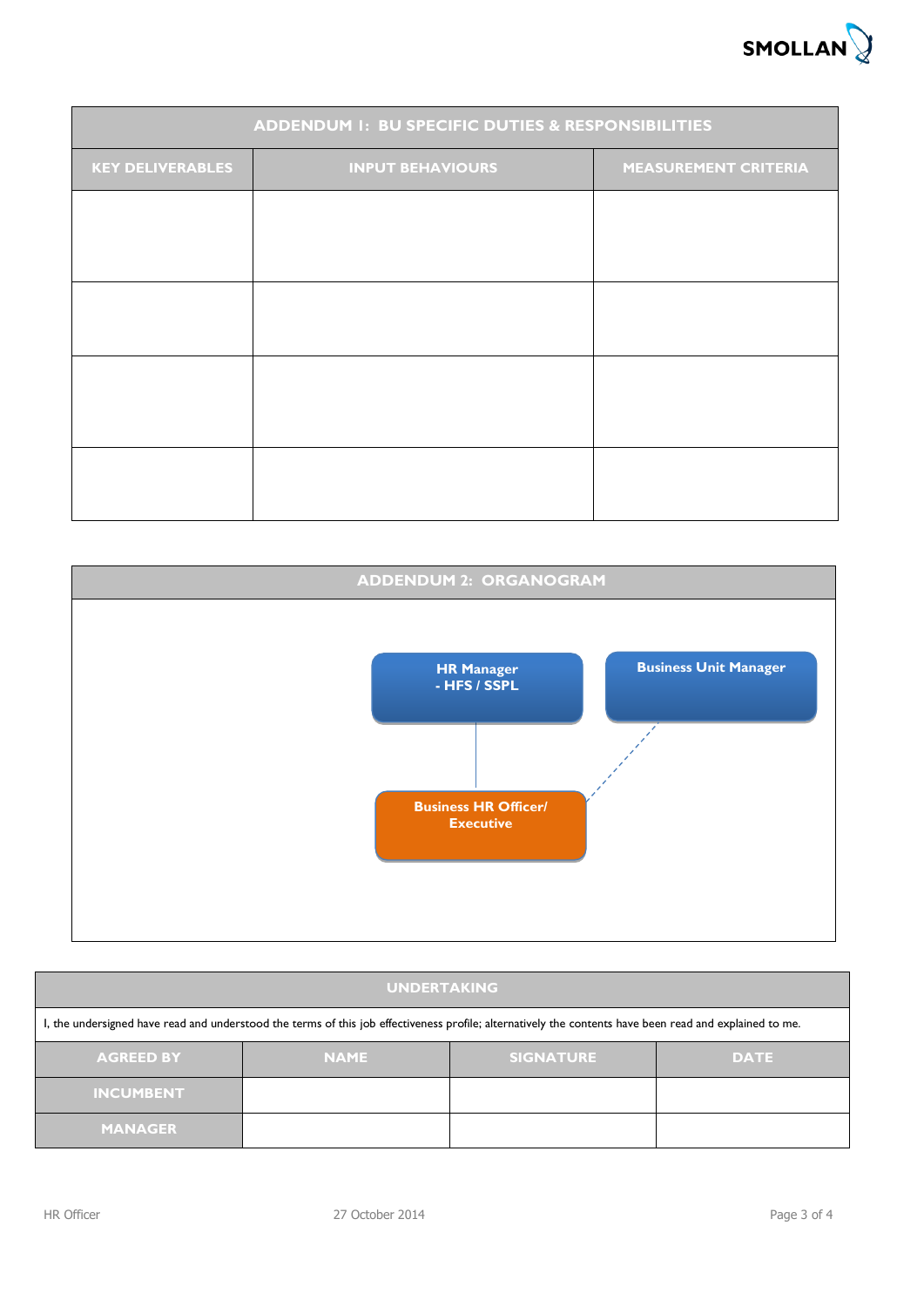

| <b>ADDENDUM 1: BU SPECIFIC DUTIES &amp; RESPONSIBILITIES</b> |  |                             |  |  |  |
|--------------------------------------------------------------|--|-----------------------------|--|--|--|
| <b>KEY DELIVERABLES</b><br><b>INPUT BEHAVIOURS</b>           |  | <b>MEASUREMENT CRITERIA</b> |  |  |  |
|                                                              |  |                             |  |  |  |
|                                                              |  |                             |  |  |  |
|                                                              |  |                             |  |  |  |
|                                                              |  |                             |  |  |  |
|                                                              |  |                             |  |  |  |
|                                                              |  |                             |  |  |  |
|                                                              |  |                             |  |  |  |
|                                                              |  |                             |  |  |  |



| <b>UNDERTAKING</b>                                                                                                                                      |             |                  |             |  |  |
|---------------------------------------------------------------------------------------------------------------------------------------------------------|-------------|------------------|-------------|--|--|
| I, the undersigned have read and understood the terms of this job effectiveness profile; alternatively the contents have been read and explained to me. |             |                  |             |  |  |
| <b>AGREED BY</b>                                                                                                                                        | <b>NAME</b> | <b>SIGNATURE</b> | <b>DATE</b> |  |  |
| <b>INCUMBENT</b>                                                                                                                                        |             |                  |             |  |  |
| <b>MANAGER</b>                                                                                                                                          |             |                  |             |  |  |